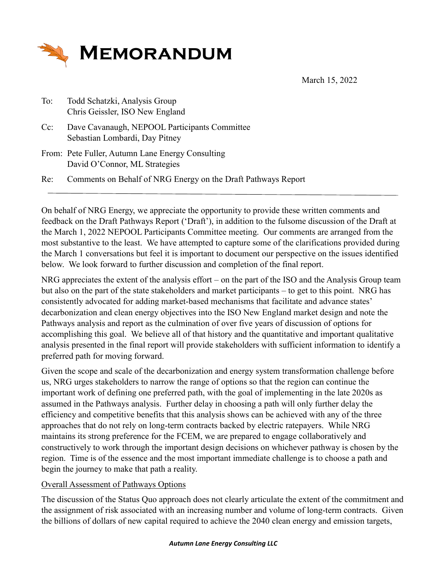

March 15, 2022

| To:    | Todd Schatzki, Analysis Group   |
|--------|---------------------------------|
|        | Chris Geissler, ISO New England |
| $\sim$ |                                 |

Cc: Dave Cavanaugh, NEPOOL Participants Committee Sebastian Lombardi, Day Pitney

From: Pete Fuller, Autumn Lane Energy Consulting David O'Connor, ML Strategies

Re: Comments on Behalf of NRG Energy on the Draft Pathways Report

On behalf of NRG Energy, we appreciate the opportunity to provide these written comments and feedback on the Draft Pathways Report ('Draft'), in addition to the fulsome discussion of the Draft at the March 1, 2022 NEPOOL Participants Committee meeting. Our comments are arranged from the most substantive to the least. We have attempted to capture some of the clarifications provided during the March 1 conversations but feel it is important to document our perspective on the issues identified below. We look forward to further discussion and completion of the final report.

NRG appreciates the extent of the analysis effort – on the part of the ISO and the Analysis Group team but also on the part of the state stakeholders and market participants – to get to this point. NRG has consistently advocated for adding market-based mechanisms that facilitate and advance states' decarbonization and clean energy objectives into the ISO New England market design and note the Pathways analysis and report as the culmination of over five years of discussion of options for accomplishing this goal. We believe all of that history and the quantitative and important qualitative analysis presented in the final report will provide stakeholders with sufficient information to identify a preferred path for moving forward.

Given the scope and scale of the decarbonization and energy system transformation challenge before us, NRG urges stakeholders to narrow the range of options so that the region can continue the important work of defining one preferred path, with the goal of implementing in the late 2020s as assumed in the Pathways analysis. Further delay in choosing a path will only further delay the efficiency and competitive benefits that this analysis shows can be achieved with any of the three approaches that do not rely on long-term contracts backed by electric ratepayers. While NRG maintains its strong preference for the FCEM, we are prepared to engage collaboratively and constructively to work through the important design decisions on whichever pathway is chosen by the region. Time is of the essence and the most important immediate challenge is to choose a path and begin the journey to make that path a reality.

## Overall Assessment of Pathways Options

The discussion of the Status Quo approach does not clearly articulate the extent of the commitment and the assignment of risk associated with an increasing number and volume of long-term contracts. Given the billions of dollars of new capital required to achieve the 2040 clean energy and emission targets,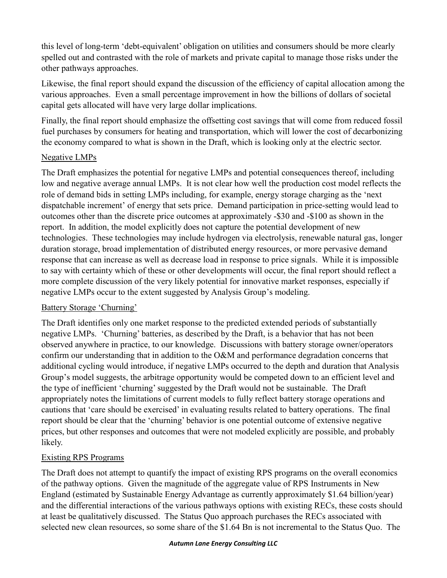this level of long-term 'debt-equivalent' obligation on utilities and consumers should be more clearly spelled out and contrasted with the role of markets and private capital to manage those risks under the other pathways approaches.

Likewise, the final report should expand the discussion of the efficiency of capital allocation among the various approaches. Even a small percentage improvement in how the billions of dollars of societal capital gets allocated will have very large dollar implications.

Finally, the final report should emphasize the offsetting cost savings that will come from reduced fossil fuel purchases by consumers for heating and transportation, which will lower the cost of decarbonizing the economy compared to what is shown in the Draft, which is looking only at the electric sector.

## Negative LMPs

The Draft emphasizes the potential for negative LMPs and potential consequences thereof, including low and negative average annual LMPs. It is not clear how well the production cost model reflects the role of demand bids in setting LMPs including, for example, energy storage charging as the 'next dispatchable increment' of energy that sets price. Demand participation in price-setting would lead to outcomes other than the discrete price outcomes at approximately -\$30 and -\$100 as shown in the report. In addition, the model explicitly does not capture the potential development of new technologies. These technologies may include hydrogen via electrolysis, renewable natural gas, longer duration storage, broad implementation of distributed energy resources, or more pervasive demand response that can increase as well as decrease load in response to price signals. While it is impossible to say with certainty which of these or other developments will occur, the final report should reflect a more complete discussion of the very likely potential for innovative market responses, especially if negative LMPs occur to the extent suggested by Analysis Group's modeling.

## Battery Storage 'Churning'

The Draft identifies only one market response to the predicted extended periods of substantially negative LMPs. 'Churning' batteries, as described by the Draft, is a behavior that has not been observed anywhere in practice, to our knowledge. Discussions with battery storage owner/operators confirm our understanding that in addition to the O&M and performance degradation concerns that additional cycling would introduce, if negative LMPs occurred to the depth and duration that Analysis Group's model suggests, the arbitrage opportunity would be competed down to an efficient level and the type of inefficient 'churning' suggested by the Draft would not be sustainable. The Draft appropriately notes the limitations of current models to fully reflect battery storage operations and cautions that 'care should be exercised' in evaluating results related to battery operations. The final report should be clear that the 'churning' behavior is one potential outcome of extensive negative prices, but other responses and outcomes that were not modeled explicitly are possible, and probably likely.

# Existing RPS Programs

The Draft does not attempt to quantify the impact of existing RPS programs on the overall economics of the pathway options. Given the magnitude of the aggregate value of RPS Instruments in New England (estimated by Sustainable Energy Advantage as currently approximately \$1.64 billion/year) and the differential interactions of the various pathways options with existing RECs, these costs should at least be qualitatively discussed. The Status Quo approach purchases the RECs associated with selected new clean resources, so some share of the \$1.64 Bn is not incremental to the Status Quo. The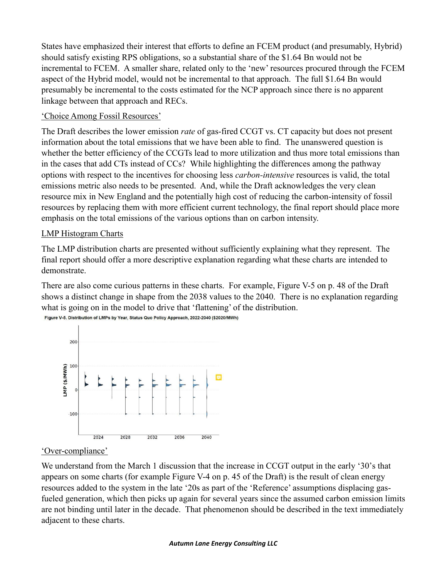States have emphasized their interest that efforts to define an FCEM product (and presumably, Hybrid) should satisfy existing RPS obligations, so a substantial share of the \$1.64 Bn would not be incremental to FCEM. A smaller share, related only to the 'new' resources procured through the FCEM aspect of the Hybrid model, would not be incremental to that approach. The full \$1.64 Bn would presumably be incremental to the costs estimated for the NCP approach since there is no apparent linkage between that approach and RECs.

## 'Choice Among Fossil Resources'

The Draft describes the lower emission *rate* of gas-fired CCGT vs. CT capacity but does not present information about the total emissions that we have been able to find. The unanswered question is whether the better efficiency of the CCGTs lead to more utilization and thus more total emissions than in the cases that add CTs instead of CCs? While highlighting the differences among the pathway options with respect to the incentives for choosing less *carbon-intensive* resources is valid, the total emissions metric also needs to be presented. And, while the Draft acknowledges the very clean resource mix in New England and the potentially high cost of reducing the carbon-intensity of fossil resources by replacing them with more efficient current technology, the final report should place more emphasis on the total emissions of the various options than on carbon intensity.

# LMP Histogram Charts

The LMP distribution charts are presented without sufficiently explaining what they represent. The final report should offer a more descriptive explanation regarding what these charts are intended to demonstrate.

There are also come curious patterns in these charts. For example, Figure V-5 on p. 48 of the Draft shows a distinct change in shape from the 2038 values to the 2040. There is no explanation regarding what is going on in the model to drive that 'flattening' of the distribution. Figure V-5. Distribution of LMPs by Year, Status Quo Policy Approach, 2022-2040 (\$2020/MWh)



## 'Over-compliance'

We understand from the March 1 discussion that the increase in CCGT output in the early '30's that appears on some charts (for example Figure V-4 on p. 45 of the Draft) is the result of clean energy resources added to the system in the late '20s as part of the 'Reference' assumptions displacing gasfueled generation, which then picks up again for several years since the assumed carbon emission limits are not binding until later in the decade. That phenomenon should be described in the text immediately adjacent to these charts.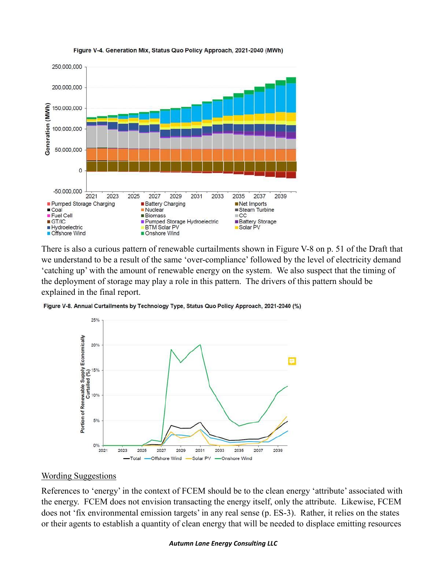

#### Figure V-4. Generation Mix, Status Quo Policy Approach, 2021-2040 (MWh)

There is also a curious pattern of renewable curtailments shown in Figure V-8 on p. 51 of the Draft that we understand to be a result of the same 'over-compliance' followed by the level of electricity demand 'catching up' with the amount of renewable energy on the system. We also suspect that the timing of the deployment of storage may play a role in this pattern. The drivers of this pattern should be explained in the final report.

Figure V-8. Annual Curtailments by Technology Type, Status Quo Policy Approach, 2021-2040 (%)



#### Wording Suggestions

References to 'energy' in the context of FCEM should be to the clean energy 'attribute' associated with the energy. FCEM does not envision transacting the energy itself, only the attribute. Likewise, FCEM does not 'fix environmental emission targets' in any real sense (p. ES-3). Rather, it relies on the states or their agents to establish a quantity of clean energy that will be needed to displace emitting resources

#### *Autumn Lane Energy Consulting LLC*